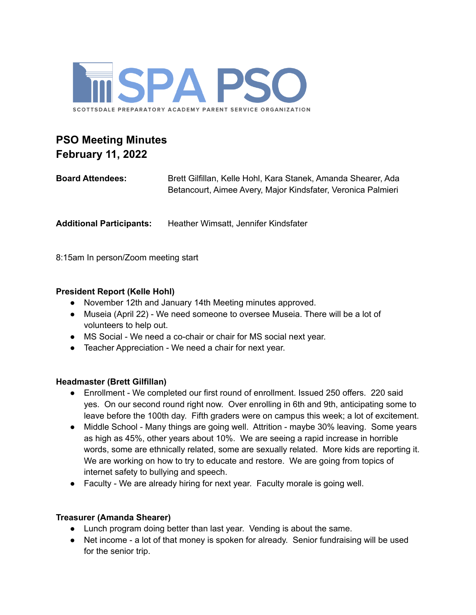

# **PSO Meeting Minutes February 11, 2022**

| <b>Board Attendees:</b>         | Brett Gilfillan, Kelle Hohl, Kara Stanek, Amanda Shearer, Ada<br>Betancourt, Aimee Avery, Major Kindsfater, Veronica Palmieri |
|---------------------------------|-------------------------------------------------------------------------------------------------------------------------------|
| <b>Additional Participants:</b> | Heather Wimsatt, Jennifer Kindsfater                                                                                          |

8:15am In person/Zoom meeting start

# **President Report (Kelle Hohl)**

- November 12th and January 14th Meeting minutes approved.
- Museia (April 22) We need someone to oversee Museia. There will be a lot of volunteers to help out.
- MS Social We need a co-chair or chair for MS social next year.
- Teacher Appreciation We need a chair for next year.

### **Headmaster (Brett Gilfillan)**

- Enrollment We completed our first round of enrollment. Issued 250 offers. 220 said yes. On our second round right now. Over enrolling in 6th and 9th, anticipating some to leave before the 100th day. Fifth graders were on campus this week; a lot of excitement.
- Middle School Many things are going well. Attrition maybe 30% leaving. Some years as high as 45%, other years about 10%. We are seeing a rapid increase in horrible words, some are ethnically related, some are sexually related. More kids are reporting it. We are working on how to try to educate and restore. We are going from topics of internet safety to bullying and speech.
- Faculty We are already hiring for next year. Faculty morale is going well.

# **Treasurer (Amanda Shearer)**

- Lunch program doing better than last year. Vending is about the same.
- Net income a lot of that money is spoken for already. Senior fundraising will be used for the senior trip.